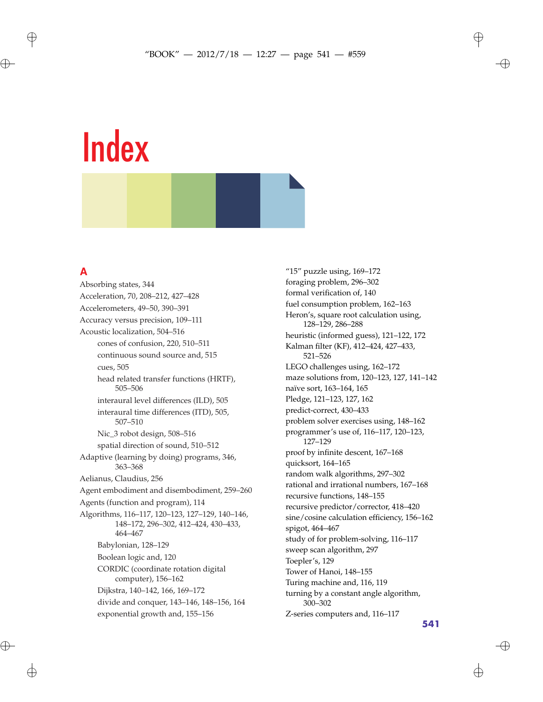### **A**

 $\oplus$ 

 $\bigoplus$ 

Absorbing states, 344 Acceleration, 70, 208–212, 427–428 Accelerometers, 49–50, 390–391 Accuracy versus precision, 109–111 Acoustic localization, 504–516 cones of confusion, 220, 510–511 continuous sound source and, 515 cues, 505 head related transfer functions (HRTF), 505–506 interaural level differences (ILD), 505 interaural time differences (ITD), 505, 507–510 Nic\_3 robot design, 508–516 spatial direction of sound, 510–512 Adaptive (learning by doing) programs, 346, 363–368 Aelianus, Claudius, 256 Agent embodiment and disembodiment, 259–260 Agents (function and program), 114 Algorithms, 116–117, 120–123, 127–129, 140–146, 148–172, 296–302, 412–424, 430–433, 464–467 Babylonian, 128–129 Boolean logic and, 120 CORDIC (coordinate rotation digital computer), 156–162 Dijkstra, 140–142, 166, 169–172 divide and conquer, 143–146, 148–156, 164 exponential growth and, 155–156

"15" puzzle using, 169–172 foraging problem, 296–302 formal verification of, 140 fuel consumption problem, 162–163 Heron's, square root calculation using, 128–129, 286–288 heuristic (informed guess), 121–122, 172 Kalman filter (KF), 412–424, 427–433, 521–526 LEGO challenges using, 162–172 maze solutions from, 120–123, 127, 141–142 naïve sort, 163–164, 165 Pledge, 121–123, 127, 162 predict-correct, 430–433 problem solver exercises using, 148–162 programmer's use of, 116–117, 120–123, 127–129 proof by infinite descent, 167–168 quicksort, 164–165 random walk algorithms, 297–302 rational and irrational numbers, 167–168 recursive functions, 148–155 recursive predictor/corrector, 418–420 sine/cosine calculation efficiency, 156–162 spigot, 464–467 study of for problem-solving, 116–117 sweep scan algorithm, 297 Toepler's, 129 Tower of Hanoi, 148–155 Turing machine and, 116, 119 turning by a constant angle algorithm, 300–302 Z-series computers and, 116–117

**541**

 $\oplus$ 

✐

✐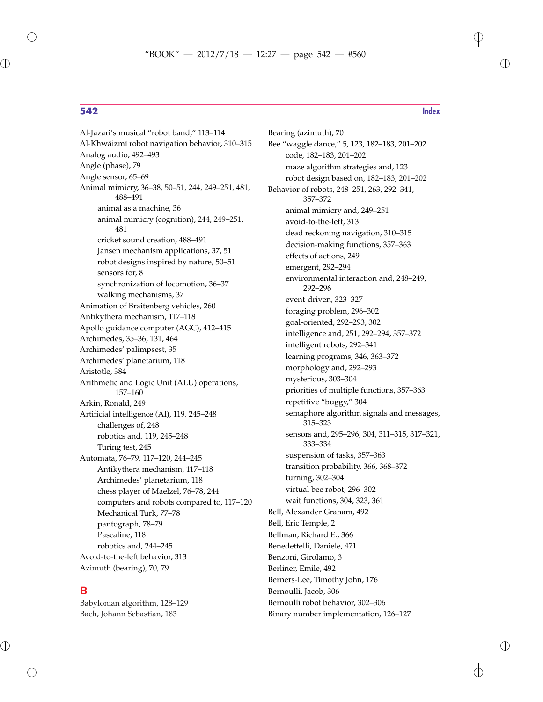$\oplus$ 

**542 Index**

✐

Al-Jazari's musical "robot band," 113–114 Al-Khwäizmï robot navigation behavior, 310–315 Analog audio, 492–493 Angle (phase), 79 Angle sensor, 65–69 Animal mimicry, 36–38, 50–51, 244, 249–251, 481, 488–491 animal as a machine, 36 animal mimicry (cognition), 244, 249–251, 481 cricket sound creation, 488–491 Jansen mechanism applications, 37, 51 robot designs inspired by nature, 50–51 sensors for, 8 synchronization of locomotion, 36–37 walking mechanisms, 37 Animation of Braitenberg vehicles, 260 Antikythera mechanism, 117–118 Apollo guidance computer (AGC), 412–415 Archimedes, 35–36, 131, 464 Archimedes' palimpsest, 35 Archimedes' planetarium, 118 Aristotle, 384 Arithmetic and Logic Unit (ALU) operations, 157–160 Arkin, Ronald, 249 Artificial intelligence (AI), 119, 245–248 challenges of, 248 robotics and, 119, 245–248 Turing test, 245 Automata, 76–79, 117–120, 244–245 Antikythera mechanism, 117–118 Archimedes' planetarium, 118 chess player of Maelzel, 76–78, 244 computers and robots compared to, 117–120 Mechanical Turk, 77–78 pantograph, 78–79 Pascaline, 118 robotics and, 244–245 Avoid-to-the-left behavior, 313 Azimuth (bearing), 70, 79

### **B**

Babylonian algorithm, 128–129 Bach, Johann Sebastian, 183

Bearing (azimuth), 70 Bee "waggle dance," 5, 123, 182–183, 201–202 code, 182–183, 201–202 maze algorithm strategies and, 123 robot design based on, 182–183, 201–202 Behavior of robots, 248–251, 263, 292–341, 357–372 animal mimicry and, 249–251 avoid-to-the-left, 313 dead reckoning navigation, 310–315 decision-making functions, 357–363 effects of actions, 249 emergent, 292–294 environmental interaction and, 248–249, 292–296 event-driven, 323–327 foraging problem, 296–302 goal-oriented, 292–293, 302 intelligence and, 251, 292–294, 357–372 intelligent robots, 292–341 learning programs, 346, 363–372 morphology and, 292–293 mysterious, 303–304 priorities of multiple functions, 357–363 repetitive "buggy," 304 semaphore algorithm signals and messages, 315–323 sensors and, 295–296, 304, 311–315, 317–321, 333–334 suspension of tasks, 357–363 transition probability, 366, 368–372 turning, 302–304 virtual bee robot, 296–302 wait functions, 304, 323, 361 Bell, Alexander Graham, 492 Bell, Eric Temple, 2 Bellman, Richard E., 366 Benedettelli, Daniele, 471 Benzoni, Girolamo, 3 Berliner, Emile, 492 Berners-Lee, Timothy John, 176 Bernoulli, Jacob, 306 Bernoulli robot behavior, 302–306

Binary number implementation, 126–127

 $\oplus$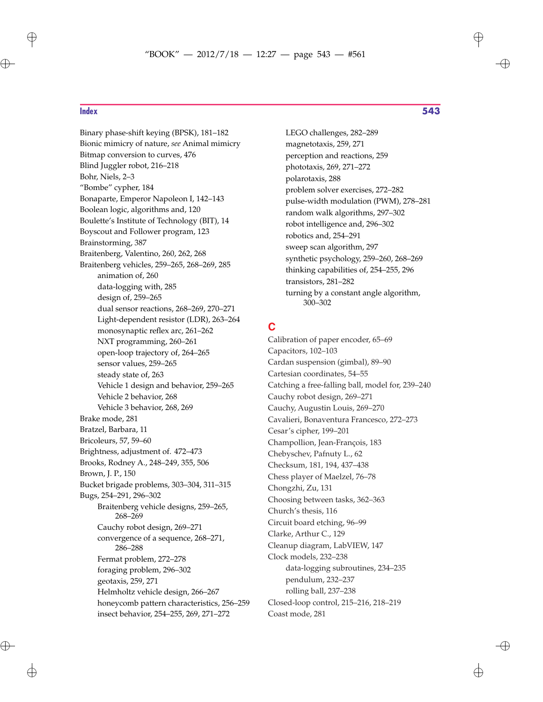# ✐

Binary phase-shift keying (BPSK), 181–182 Bionic mimicry of nature, *see* Animal mimicry Bitmap conversion to curves, 476 Blind Juggler robot, 216–218 Bohr, Niels, 2–3 "Bombe" cypher, 184 Bonaparte, Emperor Napoleon I, 142–143 Boolean logic, algorithms and, 120 Boulette's Institute of Technology (BIT), 14 Boyscout and Follower program, 123 Brainstorming, 387 Braitenberg, Valentino, 260, 262, 268 Braitenberg vehicles, 259–265, 268–269, 285 animation of, 260 data-logging with, 285 design of, 259–265 dual sensor reactions, 268–269, 270–271 Light-dependent resistor (LDR), 263–264 monosynaptic reflex arc, 261–262 NXT programming, 260–261 open-loop trajectory of, 264–265 sensor values, 259–265 steady state of, 263 Vehicle 1 design and behavior, 259–265 Vehicle 2 behavior, 268 Vehicle 3 behavior, 268, 269 Brake mode, 281 Bratzel, Barbara, 11 Bricoleurs, 57, 59–60 Brightness, adjustment of. 472–473 Brooks, Rodney A., 248–249, 355, 506 Brown, J. P., 150 Bucket brigade problems, 303–304, 311–315 Bugs, 254–291, 296–302 Braitenberg vehicle designs, 259–265, 268–269 Cauchy robot design, 269–271 convergence of a sequence, 268–271, 286–288 Fermat problem, 272–278 foraging problem, 296–302 geotaxis, 259, 271 Helmholtz vehicle design, 266–267 honeycomb pattern characteristics, 256–259 insect behavior, 254–255, 269, 271–272

**Index 543**

LEGO challenges, 282–289 magnetotaxis, 259, 271 perception and reactions, 259 phototaxis, 269, 271–272 polarotaxis, 288 problem solver exercises, 272–282 pulse-width modulation (PWM), 278–281 random walk algorithms, 297–302 robot intelligence and, 296–302 robotics and, 254–291 sweep scan algorithm, 297 synthetic psychology, 259–260, 268–269 thinking capabilities of, 254–255, 296 transistors, 281–282 turning by a constant angle algorithm, 300–302

### **C**

Calibration of paper encoder, 65–69 Capacitors, 102–103 Cardan suspension (gimbal), 89–90 Cartesian coordinates, 54–55 Catching a free-falling ball, model for, 239–240 Cauchy robot design, 269–271 Cauchy, Augustin Louis, 269–270 Cavalieri, Bonaventura Francesco, 272–273 Cesar's cipher, 199–201 Champollion, Jean-François, 183 Chebyschev, Pafnuty L., 62 Checksum, 181, 194, 437–438 Chess player of Maelzel, 76–78 Chongzhi, Zu, 131 Choosing between tasks, 362–363 Church's thesis, 116 Circuit board etching, 96–99 Clarke, Arthur C., 129 Cleanup diagram, LabVIEW, 147 Clock models, 232–238 data-logging subroutines, 234–235 pendulum, 232–237 rolling ball, 237–238 Closed-loop control, 215–216, 218–219 Coast mode, 281

✐

 $\oplus$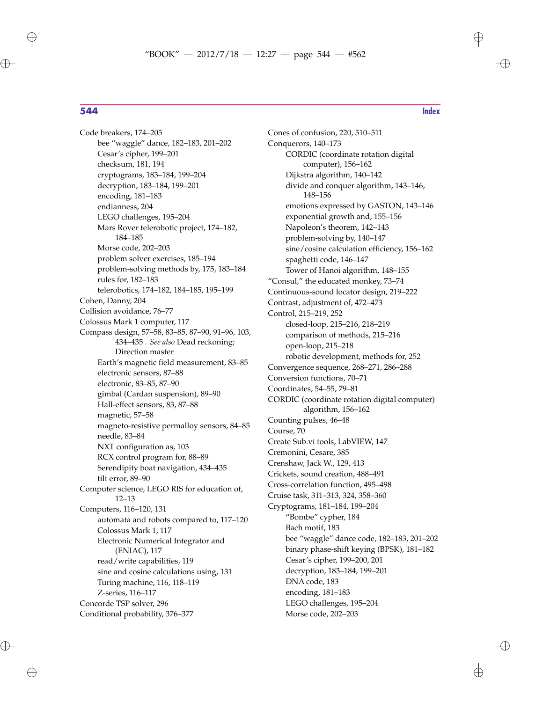$\oplus$ 

 $\oplus$ 

✐

Code breakers, 174–205 bee "waggle" dance, 182–183, 201–202 Cesar's cipher, 199–201 checksum, 181, 194 cryptograms, 183–184, 199–204 decryption, 183–184, 199–201 encoding, 181–183 endianness, 204 LEGO challenges, 195–204 Mars Rover telerobotic project, 174–182, 184–185 Morse code, 202–203 problem solver exercises, 185–194 problem-solving methods by, 175, 183–184 rules for, 182–183 telerobotics, 174–182, 184–185, 195–199 Cohen, Danny, 204 Collision avoidance, 76–77 Colossus Mark 1 computer, 117 Compass design, 57–58, 83–85, 87–90, 91–96, 103, 434–435 . *See also* Dead reckoning; Direction master Earth's magnetic field measurement, 83–85 electronic sensors, 87–88 electronic, 83–85, 87–90 gimbal (Cardan suspension), 89–90 Hall-effect sensors, 83, 87–88 magnetic, 57–58 magneto-resistive permalloy sensors, 84–85 needle, 83–84 NXT configuration as, 103 RCX control program for, 88–89 Serendipity boat navigation, 434–435 tilt error, 89–90 Computer science, LEGO RIS for education of, 12–13 Computers, 116–120, 131 automata and robots compared to, 117–120 Colossus Mark 1, 117 Electronic Numerical Integrator and (ENIAC), 117 read/write capabilities, 119 sine and cosine calculations using, 131 Turing machine, 116, 118–119 Z-series, 116–117 Concorde TSP solver, 296 Conditional probability, 376–377

Cones of confusion, 220, 510–511 Conquerors, 140–173 CORDIC (coordinate rotation digital computer), 156–162 Dijkstra algorithm, 140–142 divide and conquer algorithm, 143–146, 148–156 emotions expressed by GASTON, 143–146 exponential growth and, 155–156 Napoleon's theorem, 142–143 problem-solving by, 140–147 sine/cosine calculation efficiency, 156–162 spaghetti code, 146–147 Tower of Hanoi algorithm, 148–155 "Consul," the educated monkey, 73–74 Continuous-sound locator design, 219–222 Contrast, adjustment of, 472–473 Control, 215–219, 252 closed-loop, 215–216, 218–219 comparison of methods, 215–216 open-loop, 215–218 robotic development, methods for, 252 Convergence sequence, 268–271, 286–288 Conversion functions, 70–71 Coordinates, 54–55, 79–81 CORDIC (coordinate rotation digital computer) algorithm, 156–162 Counting pulses, 46–48 Course, 70 Create Sub.vi tools, LabVIEW, 147 Cremonini, Cesare, 385 Crenshaw, Jack W., 129, 413 Crickets, sound creation, 488–491 Cross-correlation function, 495–498 Cruise task, 311–313, 324, 358–360 Cryptograms, 181–184, 199–204 "Bombe" cypher, 184 Bach motif, 183 bee "waggle" dance code, 182–183, 201–202 binary phase-shift keying (BPSK), 181–182 Cesar's cipher, 199–200, 201 decryption, 183–184, 199–201 DNA code, 183 encoding, 181–183 LEGO challenges, 195–204 Morse code, 202–203

 $\oplus$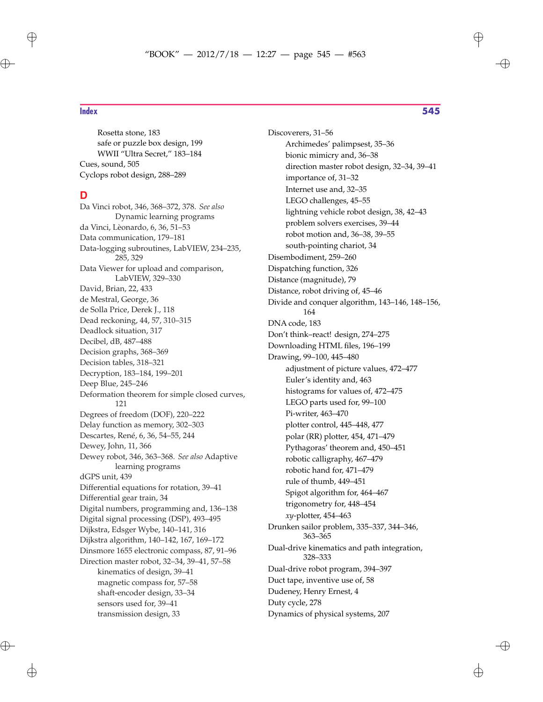$\oplus$ 

Rosetta stone, 183 safe or puzzle box design, 199 WWII "Ultra Secret," 183–184 Cues, sound, 505 Cyclops robot design, 288–289

### **D**

Da Vinci robot, 346, 368–372, 378. *See also* Dynamic learning programs da Vinci, Lèonardo, 6, 36, 51–53 Data communication, 179–181 Data-logging subroutines, LabVIEW, 234–235, 285, 329 Data Viewer for upload and comparison, LabVIEW, 329–330 David, Brian, 22, 433 de Mestral, George, 36 de Solla Price, Derek J., 118 Dead reckoning, 44, 57, 310–315 Deadlock situation, 317 Decibel, dB, 487–488 Decision graphs, 368–369 Decision tables, 318–321 Decryption, 183–184, 199–201 Deep Blue, 245–246 Deformation theorem for simple closed curves, 121 Degrees of freedom (DOF), 220–222 Delay function as memory, 302–303 Descartes, René, 6, 36, 54–55, 244 Dewey, John, 11, 366 Dewey robot, 346, 363–368. *See also* Adaptive learning programs dGPS unit, 439 Differential equations for rotation, 39–41 Differential gear train, 34 Digital numbers, programming and, 136–138 Digital signal processing (DSP), 493–495 Dijkstra, Edsger Wybe, 140–141, 316 Dijkstra algorithm, 140–142, 167, 169–172 Dinsmore 1655 electronic compass, 87, 91–96 Direction master robot, 32–34, 39–41, 57–58 kinematics of design, 39–41 magnetic compass for, 57–58 shaft-encoder design, 33–34 sensors used for, 39–41 transmission design, 33

### **Index 545**

✐

Discoverers, 31–56 Archimedes' palimpsest, 35–36 bionic mimicry and, 36–38 direction master robot design, 32–34, 39–41 importance of, 31–32 Internet use and, 32–35 LEGO challenges, 45–55 lightning vehicle robot design, 38, 42–43 problem solvers exercises, 39–44 robot motion and, 36–38, 39–55 south-pointing chariot, 34 Disembodiment, 259–260 Dispatching function, 326 Distance (magnitude), 79 Distance, robot driving of, 45–46 Divide and conquer algorithm, 143–146, 148–156, 164 DNA code, 183 Don't think–react! design, 274–275 Downloading HTML files, 196–199 Drawing, 99–100, 445–480 adjustment of picture values, 472–477 Euler's identity and, 463 histograms for values of, 472–475 LEGO parts used for, 99–100 Pi-writer, 463–470 plotter control, 445–448, 477 polar (RR) plotter, 454, 471–479 Pythagoras' theorem and, 450–451 robotic calligraphy, 467–479 robotic hand for, 471–479 rule of thumb, 449–451 Spigot algorithm for, 464–467 trigonometry for, 448–454 *xy*-plotter, 454–463 Drunken sailor problem, 335–337, 344–346, 363–365 Dual-drive kinematics and path integration, 328–333 Dual-drive robot program, 394–397 Duct tape, inventive use of, 58 Dudeney, Henry Ernest, 4 Duty cycle, 278

Dynamics of physical systems, 207

 $\oplus$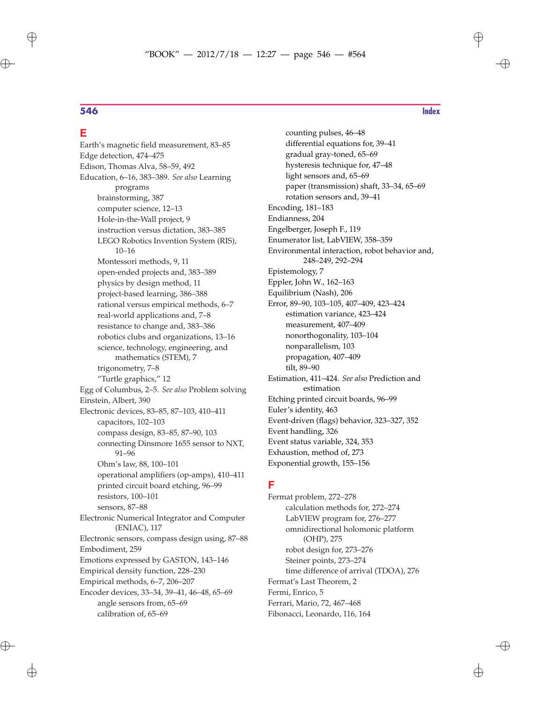### **E**

Earth's magnetic field measurement, 83–85 Edge detection, 474–475 Edison, Thomas Alva, 58–59, 492 Education, 6–16, 383–389. *See also* Learning programs brainstorming, 387 computer science, 12–13 Hole-in-the-Wall project, 9 instruction versus dictation, 383–385 LEGO Robotics Invention System (RIS), 10–16 Montessori methods, 9, 11 open-ended projects and, 383–389 physics by design method, 11 project-based learning, 386–388 rational versus empirical methods, 6–7 real-world applications and, 7–8 resistance to change and, 383–386 robotics clubs and organizations, 13–16 science, technology, engineering, and mathematics (STEM), 7 trigonometry, 7–8 "Turtle graphics," 12 Egg of Columbus, 2–5. *See also* Problem solving Einstein, Albert, 390 Electronic devices, 83–85, 87–103, 410–411 capacitors, 102–103 compass design, 83–85, 87–90, 103 connecting Dinsmore 1655 sensor to NXT, 91–96 Ohm's law, 88, 100–101 operational amplifiers (op-amps), 410–411 printed circuit board etching, 96–99 resistors, 100–101 sensors, 87–88 Electronic Numerical Integrator and Computer (ENIAC), 117 Electronic sensors, compass design using, 87–88 Embodiment, 259 Emotions expressed by GASTON, 143–146 Empirical density function, 228–230 Empirical methods, 6–7, 206–207 Encoder devices, 33–34, 39–41, 46–48, 65–69 angle sensors from, 65–69 calibration of, 65–69

counting pulses, 46–48 differential equations for, 39–41 gradual gray-toned, 65–69 hysteresis technique for, 47–48 light sensors and, 65–69 paper (transmission) shaft, 33–34, 65–69 rotation sensors and, 39–41 Encoding, 181–183 Endianness, 204 Engelberger, Joseph F., 119 Enumerator list, LabVIEW, 358–359 Environmental interaction, robot behavior and, 248–249, 292–294 Epistemology, 7 Eppler, John W., 162–163 Equilibrium (Nash), 206 Error, 89–90, 103–105, 407–409, 423–424 estimation variance, 423–424 measurement, 407–409 nonorthogonality, 103–104 nonparallelism, 103 propagation, 407–409 tilt, 89–90 Estimation, 411–424. *See also* Prediction and estimation Etching printed circuit boards, 96–99 Euler's identity, 463 Event-driven (flags) behavior, 323–327, 352 Event handling, 326 Event status variable, 324, 353 Exhaustion, method of, 273 Exponential growth, 155–156

### **F**

Fermat problem, 272–278 calculation methods for, 272–274 LabVIEW program for, 276–277 omnidirectional holomonic platform (OHP), 275 robot design for, 273–276 Steiner points, 273–274 time difference of arrival (TDOA), 276 Fermat's Last Theorem, 2 Fermi, Enrico, 5 Ferrari, Mario, 72, 467–468 Fibonacci, Leonardo, 116, 164

 $\oplus$ 

 $\oplus$ 

✐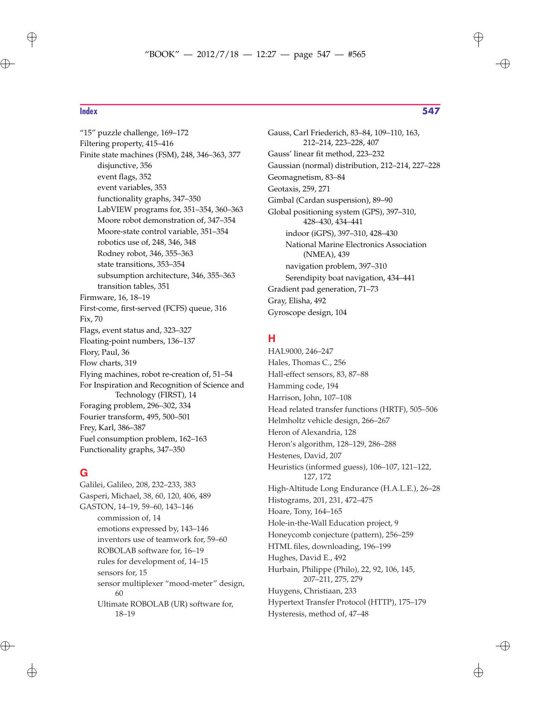$\oplus$ 

 $\oplus$ 

"15" puzzle challenge, 169–172 Filtering property, 415–416 Finite state machines (FSM), 248, 346–363, 377 disjunctive, 356 event flags, 352 event variables, 353 functionality graphs, 347–350 LabVIEW programs for, 351–354, 360–363 Moore robot demonstration of, 347–354 Moore-state control variable, 351–354 robotics use of, 248, 346, 348 Rodney robot, 346, 355–363 state transitions, 353–354 subsumption architecture, 346, 355–363 transition tables, 351 Firmware, 16, 18–19 First-come, first-served (FCFS) queue, 316 Fix, 70 Flags, event status and, 323–327 Floating-point numbers, 136–137 Flory, Paul, 36 Flow charts, 319 Flying machines, robot re-creation of, 51–54 For Inspiration and Recognition of Science and Technology (FIRST), 14 Foraging problem, 296–302, 334 Fourier transform, 495, 500–501 Frey, Karl, 386–387 Fuel consumption problem, 162–163 Functionality graphs, 347–350

### **G**

Galilei, Galileo, 208, 232–233, 383 Gasperi, Michael, 38, 60, 120, 406, 489 GASTON, 14–19, 59–60, 143–146 commission of, 14 emotions expressed by, 143–146 inventors use of teamwork for, 59–60 ROBOLAB software for, 16–19 rules for development of, 14–15 sensors for, 15 sensor multiplexer "mood-meter" design, 60 Ultimate ROBOLAB (UR) software for, 18–19

Gauss, Carl Friederich, 83–84, 109–110, 163, 212–214, 223–228, 407 Gauss' linear fit method, 223–232 Gaussian (normal) distribution, 212–214, 227–228 Geomagnetism, 83–84 Geotaxis, 259, 271 Gimbal (Cardan suspension), 89–90 Global positioning system (GPS), 397–310, 428–430, 434–441 indoor (iGPS), 397–310, 428–430 National Marine Electronics Association (NMEA), 439 navigation problem, 397–310 Serendipity boat navigation, 434–441 Gradient pad generation, 71–73 Gray, Elisha, 492 Gyroscope design, 104

### **H**

HAL9000, 246–247 Hales, Thomas C., 256 Hall-effect sensors, 83, 87–88 Hamming code, 194 Harrison, John, 107–108 Head related transfer functions (HRTF), 505–506 Helmholtz vehicle design, 266–267 Heron of Alexandria, 128 Heron's algorithm, 128–129, 286–288 Hestenes, David, 207 Heuristics (informed guess), 106–107, 121–122, 127, 172 High-Altitude Long Endurance (H.A.L.E.), 26–28 Histograms, 201, 231, 472–475 Hoare, Tony, 164–165 Hole-in-the-Wall Education project, 9 Honeycomb conjecture (pattern), 256–259 HTML files, downloading, 196–199 Hughes, David E., 492 Hurbain, Philippe (Philo), 22, 92, 106, 145, 207–211, 275, 279 Huygens, Christiaan, 233 Hypertext Transfer Protocol (HTTP), 175–179 Hysteresis, method of, 47–48

 $\oplus$ 

✐

✐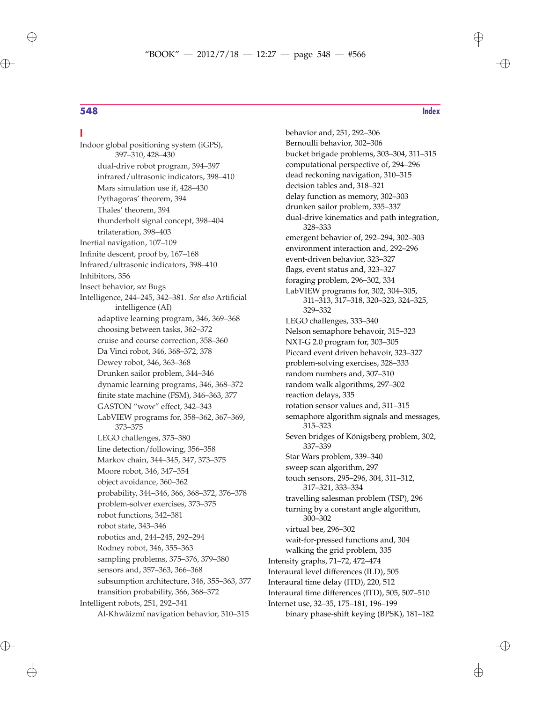### **I**

 $\oplus$ 

 $\bigoplus$ 

Indoor global positioning system (iGPS), 397–310, 428–430 dual-drive robot program, 394–397 infrared/ultrasonic indicators, 398–410 Mars simulation use if, 428–430 Pythagoras' theorem, 394 Thales' theorem, 394 thunderbolt signal concept, 398–404 trilateration, 398–403 Inertial navigation, 107–109 Infinite descent, proof by, 167–168 Infrared/ultrasonic indicators, 398–410 Inhibitors, 356 Insect behavior, *see* Bugs Intelligence, 244–245, 342–381. *See also* Artificial intelligence (AI) adaptive learning program, 346, 369–368 choosing between tasks, 362–372 cruise and course correction, 358–360 Da Vinci robot, 346, 368–372, 378 Dewey robot, 346, 363–368 Drunken sailor problem, 344–346 dynamic learning programs, 346, 368–372 finite state machine (FSM), 346–363, 377 GASTON "wow" effect, 342–343 LabVIEW programs for, 358–362, 367–369, 373–375 LEGO challenges, 375–380 line detection/following, 356–358 Markov chain, 344–345, 347, 373–375 Moore robot, 346, 347–354 object avoidance, 360–362 probability, 344–346, 366, 368–372, 376–378 problem-solver exercises, 373–375 robot functions, 342–381 robot state, 343–346 robotics and, 244–245, 292–294 Rodney robot, 346, 355–363 sampling problems, 375–376, 379–380 sensors and, 357–363, 366–368 subsumption architecture, 346, 355–363, 377 transition probability, 366, 368–372 Intelligent robots, 251, 292–341 Al-Khwäizmï navigation behavior, 310–315

✐

 $\oplus$ 

✐

behavior and, 251, 292–306 Bernoulli behavior, 302–306 bucket brigade problems, 303–304, 311–315 computational perspective of, 294–296 dead reckoning navigation, 310–315 decision tables and, 318–321 delay function as memory, 302–303 drunken sailor problem, 335–337 dual-drive kinematics and path integration, 328–333 emergent behavior of, 292–294, 302–303 environment interaction and, 292–296 event-driven behavior, 323–327 flags, event status and, 323–327 foraging problem, 296–302, 334 LabVIEW programs for, 302, 304–305, 311–313, 317–318, 320–323, 324–325, 329–332 LEGO challenges, 333–340 Nelson semaphore behavoir, 315–323 NXT-G 2.0 program for, 303–305 Piccard event driven behavoir, 323–327 problem-solving exercises, 328–333 random numbers and, 307–310 random walk algorithms, 297–302 reaction delays, 335 rotation sensor values and, 311–315 semaphore algorithm signals and messages, 315–323 Seven bridges of Königsberg problem, 302, 337–339 Star Wars problem, 339–340 sweep scan algorithm, 297 touch sensors, 295–296, 304, 311–312, 317–321, 333–334 travelling salesman problem (TSP), 296 turning by a constant angle algorithm, 300–302 virtual bee, 296–302 wait-for-pressed functions and, 304 walking the grid problem, 335 Intensity graphs, 71–72, 472–474 Interaural level differences (ILD), 505 Interaural time delay (ITD), 220, 512 Interaural time differences (ITD), 505, 507–510 Internet use, 32–35, 175–181, 196–199

binary phase-shift keying (BPSK), 181–182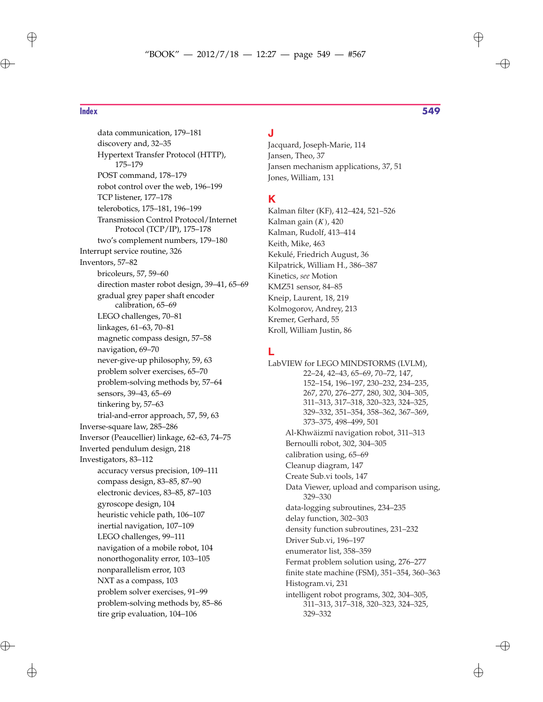# "BOOK" — 2012/7/18 — 12:27 — page 549 — #567  $\bigoplus$

data communication, 179–181 discovery and, 32–35 Hypertext Transfer Protocol (HTTP), 175–179 POST command, 178–179 robot control over the web, 196–199 TCP listener, 177–178 telerobotics, 175–181, 196–199 Transmission Control Protocol/Internet Protocol (TCP/IP), 175–178 two's complement numbers, 179–180 Interrupt service routine, 326 Inventors, 57–82 bricoleurs, 57, 59–60 direction master robot design, 39–41, 65–69 gradual grey paper shaft encoder calibration, 65–69 LEGO challenges, 70–81 linkages, 61–63, 70–81 magnetic compass design, 57–58 navigation, 69–70 never-give-up philosophy, 59, 63 problem solver exercises, 65–70 problem-solving methods by, 57–64 sensors, 39–43, 65–69 tinkering by, 57–63 trial-and-error approach, 57, 59, 63 Inverse-square law, 285–286 Inversor (Peaucellier) linkage, 62–63, 74–75 Inverted pendulum design, 218 Investigators, 83–112 accuracy versus precision, 109–111 compass design, 83–85, 87–90 electronic devices, 83–85, 87–103 gyroscope design, 104 heuristic vehicle path, 106–107 inertial navigation, 107–109 LEGO challenges, 99–111 navigation of a mobile robot, 104 nonorthogonality error, 103–105 nonparallelism error, 103 NXT as a compass, 103 problem solver exercises, 91–99 problem-solving methods by, 85–86 tire grip evaluation, 104–106

### **J**

Jacquard, Joseph-Marie, 114 Jansen, Theo, 37 Jansen mechanism applications, 37, 51 Jones, William, 131

### **K**

Kalman filter (KF), 412–424, 521–526 Kalman gain  $(K)$ , 420 Kalman, Rudolf, 413–414 Keith, Mike, 463 Kekulé, Friedrich August, 36 Kilpatrick, William H., 386–387 Kinetics, *see* Motion KMZ51 sensor, 84–85 Kneip, Laurent, 18, 219 Kolmogorov, Andrey, 213 Kremer, Gerhard, 55 Kroll, William Justin, 86

### **L**

LabVIEW for LEGO MINDSTORMS (LVLM), 22–24, 42–43, 65–69, 70–72, 147, 152–154, 196–197, 230–232, 234–235, 267, 270, 276–277, 280, 302, 304–305, 311–313, 317–318, 320–323, 324–325, 329–332, 351–354, 358–362, 367–369, 373–375, 498–499, 501 Al-Khwäizmï navigation robot, 311–313 Bernoulli robot, 302, 304–305 calibration using, 65–69 Cleanup diagram, 147 Create Sub.vi tools, 147 Data Viewer, upload and comparison using, 329–330 data-logging subroutines, 234–235 delay function, 302–303 density function subroutines, 231–232 Driver Sub.vi, 196–197 enumerator list, 358–359 Fermat problem solution using, 276–277 finite state machine (FSM), 351–354, 360–363 Histogram.vi, 231 intelligent robot programs, 302, 304–305, 311–313, 317–318, 320–323, 324–325, 329–332

### **Index 549**

✐

 $\oplus$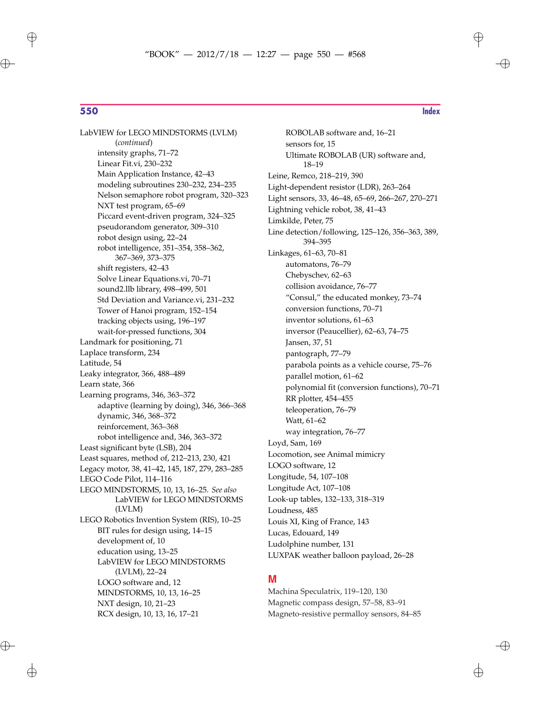$\bigoplus$ 

**550 Index**

✐

 $\oplus$ 

✐

LabVIEW for LEGO MINDSTORMS (LVLM) (*continued*) intensity graphs, 71–72 Linear Fit.vi, 230–232 Main Application Instance, 42–43 modeling subroutines 230–232, 234–235 Nelson semaphore robot program, 320–323 NXT test program, 65–69 Piccard event-driven program, 324–325 pseudorandom generator, 309–310 robot design using, 22–24 robot intelligence, 351–354, 358–362, 367–369, 373–375 shift registers, 42–43 Solve Linear Equations.vi, 70–71 sound2.llb library, 498–499, 501 Std Deviation and Variance.vi, 231–232 Tower of Hanoi program, 152–154 tracking objects using, 196–197 wait-for-pressed functions, 304 Landmark for positioning, 71 Laplace transform, 234 Latitude, 54 Leaky integrator, 366, 488–489 Learn state, 366 Learning programs, 346, 363–372 adaptive (learning by doing), 346, 366–368 dynamic, 346, 368–372 reinforcement, 363–368 robot intelligence and, 346, 363–372 Least significant byte (LSB), 204 Least squares, method of, 212–213, 230, 421 Legacy motor, 38, 41–42, 145, 187, 279, 283–285 LEGO Code Pilot, 114–116 LEGO MINDSTORMS, 10, 13, 16–25. *See also* LabVIEW for LEGO MINDSTORMS (LVLM) LEGO Robotics Invention System (RIS), 10–25 BIT rules for design using, 14–15 development of, 10 education using, 13–25 LabVIEW for LEGO MINDSTORMS (LVLM), 22–24 LOGO software and, 12 MINDSTORMS, 10, 13, 16–25 NXT design, 10, 21–23 RCX design, 10, 13, 16, 17–21

sensors for, 15 Ultimate ROBOLAB (UR) software and, 18–19 Leine, Remco, 218–219, 390 Light-dependent resistor (LDR), 263–264 Light sensors, 33, 46–48, 65–69, 266–267, 270–271 Lightning vehicle robot, 38, 41–43 Limkilde, Peter, 75 Line detection/following, 125–126, 356–363, 389, 394–395 Linkages, 61–63, 70–81 automatons, 76–79 Chebyschev, 62–63 collision avoidance, 76–77 "Consul," the educated monkey, 73–74 conversion functions, 70–71 inventor solutions, 61–63 inversor (Peaucellier), 62–63, 74–75 Jansen, 37, 51 pantograph, 77–79 parabola points as a vehicle course, 75–76 parallel motion, 61–62 polynomial fit (conversion functions), 70–71 RR plotter, 454–455 teleoperation, 76–79 Watt, 61–62 way integration, 76–77 Loyd, Sam, 169 Locomotion, see Animal mimicry LOGO software, 12 Longitude, 54, 107–108 Longitude Act, 107–108 Look-up tables, 132–133, 318–319 Loudness, 485 Louis XI, King of France, 143 Lucas, Edouard, 149 Ludolphine number, 131 LUXPAK weather balloon payload, 26–28

ROBOLAB software and, 16–21

### **M**

Machina Speculatrix, 119–120, 130 Magnetic compass design, 57–58, 83–91 Magneto-resistive permalloy sensors, 84–85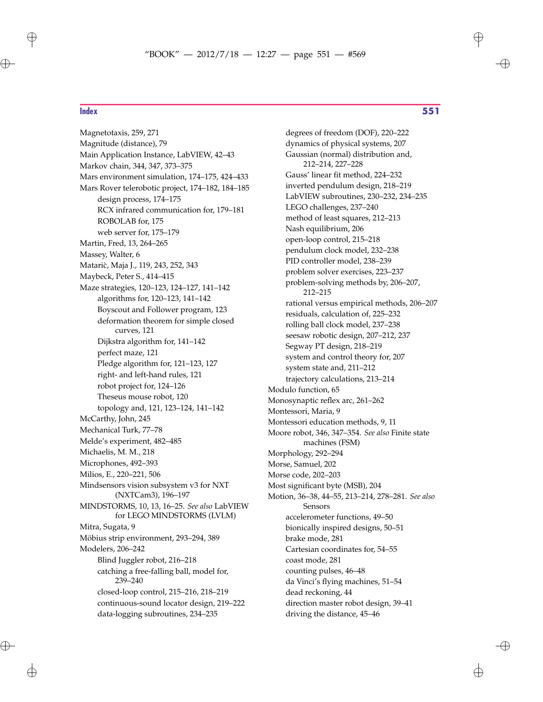Magnetotaxis, 259, 271

 $\oplus$ 

 $\oplus$ 

**Index 551**

✐

Magnitude (distance), 79 Main Application Instance, LabVIEW, 42–43 Markov chain, 344, 347, 373–375 Mars environment simulation, 174–175, 424–433 Mars Rover telerobotic project, 174–182, 184–185 design process, 174–175 RCX infrared communication for, 179–181 ROBOLAB for, 175 web server for, 175–179 Martin, Fred, 13, 264–265 Massey, Walter, 6 Mataric, Maja J., 119, 243, 252, 343 Maybeck, Peter S., 414–415 Maze strategies, 120–123, 124–127, 141–142 algorithms for, 120–123, 141–142 Boyscout and Follower program, 123 deformation theorem for simple closed curves, 121 Dijkstra algorithm for, 141–142 perfect maze, 121 Pledge algorithm for, 121–123, 127 right- and left-hand rules, 121 robot project for, 124–126 Theseus mouse robot, 120 topology and, 121, 123–124, 141–142 McCarthy, John, 245 Mechanical Turk, 77–78 Melde's experiment, 482–485 Michaelis, M. M., 218 Microphones, 492–393 Milios, E., 220–221, 506 Mindsensors vision subsystem v3 for NXT (NXTCam3), 196–197 MINDSTORMS, 10, 13, 16–25. *See also* LabVIEW for LEGO MINDSTORMS (LVLM) Mitra, Sugata, 9 Möbius strip environment, 293–294, 389 Modelers, 206–242 Blind Juggler robot, 216–218 catching a free-falling ball, model for, 239–240 closed-loop control, 215–216, 218–219 continuous-sound locator design, 219–222 data-logging subroutines, 234–235

degrees of freedom (DOF), 220–222 dynamics of physical systems, 207 Gaussian (normal) distribution and, 212–214, 227–228 Gauss' linear fit method, 224–232 inverted pendulum design, 218–219 LabVIEW subroutines, 230–232, 234–235 LEGO challenges, 237–240 method of least squares, 212–213 Nash equilibrium, 206 open-loop control, 215–218 pendulum clock model, 232–238 PID controller model, 238–239 problem solver exercises, 223–237 problem-solving methods by, 206–207, 212–215 rational versus empirical methods, 206–207 residuals, calculation of, 225–232 rolling ball clock model, 237–238 seesaw robotic design, 207–212, 237 Segway PT design, 218–219 system and control theory for, 207 system state and, 211–212 trajectory calculations, 213–214 Modulo function, 65 Monosynaptic reflex arc, 261–262 Montessori, Maria, 9 Montessori education methods, 9, 11 Moore robot, 346, 347–354. *See also* Finite state machines (FSM) Morphology, 292–294 Morse, Samuel, 202 Morse code, 202–203 Most significant byte (MSB), 204 Motion, 36–38, 44–55, 213–214, 278–281. *See also* Sensors accelerometer functions, 49–50 bionically inspired designs, 50–51 brake mode, 281 Cartesian coordinates for, 54–55 coast mode, 281 counting pulses, 46–48 da Vinci's flying machines, 51–54 dead reckoning, 44 direction master robot design, 39–41 driving the distance, 45–46

 $\oplus$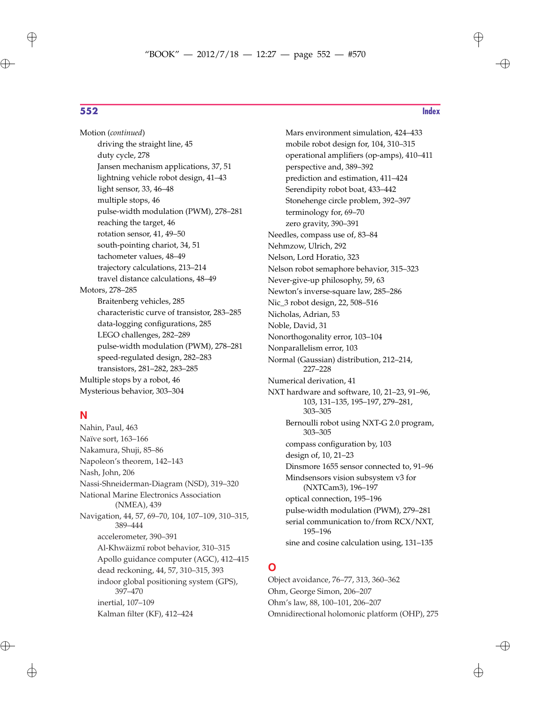$\oplus$ 

 $\oplus$ 

Motion (*continued*) driving the straight line, 45 duty cycle, 278 Jansen mechanism applications, 37, 51 lightning vehicle robot design, 41–43 light sensor, 33, 46–48 multiple stops, 46 pulse-width modulation (PWM), 278–281 reaching the target, 46 rotation sensor, 41, 49–50 south-pointing chariot, 34, 51 tachometer values, 48–49 trajectory calculations, 213–214 travel distance calculations, 48–49 Motors, 278–285 Braitenberg vehicles, 285 characteristic curve of transistor, 283–285 data-logging configurations, 285 LEGO challenges, 282–289 pulse-width modulation (PWM), 278–281 speed-regulated design, 282–283 transistors, 281–282, 283–285 Multiple stops by a robot, 46 Mysterious behavior, 303–304

### **N**

Nahin, Paul, 463 Naïve sort, 163–166 Nakamura, Shuji, 85–86 Napoleon's theorem, 142–143 Nash, John, 206 Nassi-Shneiderman-Diagram (NSD), 319–320 National Marine Electronics Association (NMEA), 439 Navigation, 44, 57, 69–70, 104, 107–109, 310–315, 389–444 accelerometer, 390–391 Al-Khwäizmï robot behavior, 310–315 Apollo guidance computer (AGC), 412–415 dead reckoning, 44, 57, 310–315, 393 indoor global positioning system (GPS), 397–470 inertial, 107–109 Kalman filter (KF), 412–424

Mars environment simulation, 424–433 mobile robot design for, 104, 310–315 operational amplifiers (op-amps), 410–411 perspective and, 389–392 prediction and estimation, 411–424 Serendipity robot boat, 433–442 Stonehenge circle problem, 392–397 terminology for, 69–70 zero gravity, 390–391 Needles, compass use of, 83–84 Nehmzow, Ulrich, 292 Nelson, Lord Horatio, 323 Nelson robot semaphore behavior, 315–323 Never-give-up philosophy, 59, 63 Newton's inverse-square law, 285–286 Nic\_3 robot design, 22, 508–516 Nicholas, Adrian, 53 Noble, David, 31 Nonorthogonality error, 103–104 Nonparallelism error, 103 Normal (Gaussian) distribution, 212–214, 227–228 Numerical derivation, 41 NXT hardware and software, 10, 21–23, 91–96, 103, 131–135, 195–197, 279–281, 303–305 Bernoulli robot using NXT-G 2.0 program, 303–305 compass configuration by, 103 design of, 10, 21–23 Dinsmore 1655 sensor connected to, 91–96 Mindsensors vision subsystem v3 for (NXTCam3), 196–197 optical connection, 195–196 pulse-width modulation (PWM), 279–281 serial communication to/from RCX/NXT,

> 195–196 sine and cosine calculation using, 131–135

### **O**

Object avoidance, 76–77, 313, 360–362 Ohm, George Simon, 206–207 Ohm's law, 88, 100–101, 206–207 Omnidirectional holomonic platform (OHP), 275

 $\oplus$ 

✐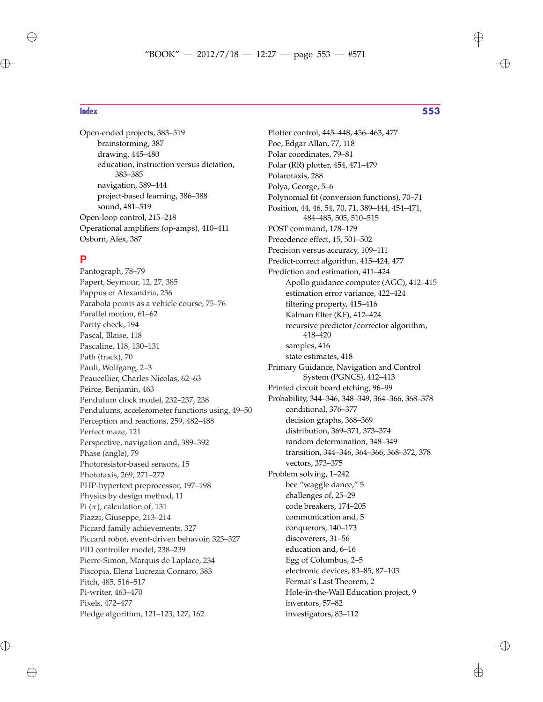Open-ended projects, 383–519 brainstorming, 387 drawing, 445–480 education, instruction versus dictation, 383–385 navigation, 389–444 project-based learning, 386–388 sound, 481–519 Open-loop control, 215–218 Operational amplifiers (op-amps), 410–411 Osborn, Alex, 387

### **P**

Pantograph, 78–79 Papert, Seymour, 12, 27, 385 Pappus of Alexandria, 256 Parabola points as a vehicle course, 75–76 Parallel motion, 61–62 Parity check, 194 Pascal, Blaise, 118 Pascaline, 118, 130–131 Path (track), 70 Pauli, Wolfgang, 2–3 Peaucellier, Charles Nicolas, 62–63 Peirce, Benjamin, 463 Pendulum clock model, 232–237, 238 Pendulums, accelerometer functions using, 49–50 Perception and reactions, 259, 482–488 Perfect maze, 121 Perspective, navigation and, 389–392 Phase (angle), 79 Photoresistor-based sensors, 15 Phototaxis, 269, 271–272 PHP-hypertext preprocessor, 197–198 Physics by design method, 11 Pi  $(\pi)$ , calculation of, 131 Piazzi, Giuseppe, 213–214 Piccard family achievements, 327 Piccard robot, event-driven behavoir, 323–327 PID controller model, 238–239 Pierre-Simon, Marquis de Laplace, 234 Piscopia, Elena Lucrezia Cornaro, 383 Pitch, 485, 516–517 Pi-writer, 463–470 Pixels, 472–477 Pledge algorithm, 121–123, 127, 162

Plotter control, 445–448, 456–463, 477 Poe, Edgar Allan, 77, 118 Polar coordinates, 79–81 Polar (RR) plotter, 454, 471–479 Polarotaxis, 288 Polya, George, 5–6 Polynomial fit (conversion functions), 70–71 Position, 44, 46, 54, 70, 71, 389–444, 454–471, 484–485, 505, 510–515 POST command, 178–179 Precedence effect, 15, 501–502 Precision versus accuracy, 109–111 Predict-correct algorithm, 415–424, 477 Prediction and estimation, 411–424 Apollo guidance computer (AGC), 412–415 estimation error variance, 422–424 filtering property, 415–416 Kalman filter (KF), 412–424 recursive predictor/corrector algorithm, 418–420 samples, 416 state estimates, 418 Primary Guidance, Navigation and Control System (PGNCS), 412–413 Printed circuit board etching, 96–99 Probability, 344–346, 348–349, 364–366, 368–378 conditional, 376–377 decision graphs, 368–369 distribution, 369–371, 373–374 random determination, 348–349 transition, 344–346, 364–366, 368–372, 378 vectors, 373–375 Problem solving, 1–242 bee "waggle dance," 5 challenges of, 25–29 code breakers, 174–205 communication and, 5 conquerors, 140–173 discoverers, 31–56 education and, 6–16 Egg of Columbus, 2–5 electronic devices, 83–85, 87–103 Fermat's Last Theorem, 2 Hole-in-the-Wall Education project, 9 inventors, 57–82

investigators, 83–112

 $\oplus$ 

 $\oplus$ 

**Index 553**

 $\oplus$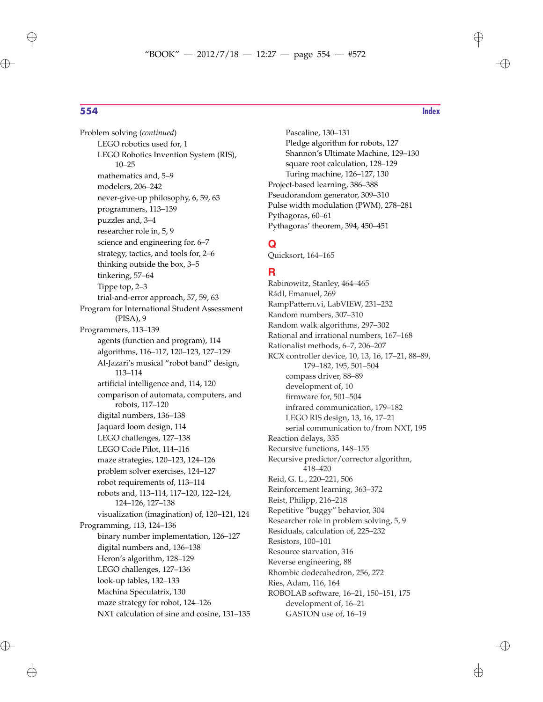$\oplus$ 

 $\bigoplus$ 

Problem solving (*continued*) LEGO robotics used for, 1 LEGO Robotics Invention System (RIS), 10–25 mathematics and, 5–9 modelers, 206–242 never-give-up philosophy, 6, 59, 63 programmers, 113–139 puzzles and, 3–4 researcher role in, 5, 9 science and engineering for, 6–7 strategy, tactics, and tools for, 2–6 thinking outside the box, 3–5 tinkering, 57–64 Tippe top, 2–3 trial-and-error approach, 57, 59, 63 Program for International Student Assessment (PISA), 9 Programmers, 113–139 agents (function and program), 114 algorithms, 116–117, 120–123, 127–129 Al-Jazari's musical "robot band" design, 113–114 artificial intelligence and, 114, 120 comparison of automata, computers, and robots, 117–120 digital numbers, 136–138 Jaquard loom design, 114 LEGO challenges, 127–138 LEGO Code Pilot, 114–116 maze strategies, 120–123, 124–126 problem solver exercises, 124–127 robot requirements of, 113–114 robots and, 113–114, 117–120, 122–124, 124–126, 127–138 visualization (imagination) of, 120–121, 124 Programming, 113, 124–136 binary number implementation, 126–127 digital numbers and, 136–138 Heron's algorithm, 128–129 LEGO challenges, 127–136 look-up tables, 132–133 Machina Speculatrix, 130 maze strategy for robot, 124–126 NXT calculation of sine and cosine, 131–135

Pascaline, 130–131 Pledge algorithm for robots, 127 Shannon's Ultimate Machine, 129–130 square root calculation, 128–129 Turing machine, 126–127, 130 Project-based learning, 386–388 Pseudorandom generator, 309–310 Pulse width modulation (PWM), 278–281 Pythagoras, 60–61 Pythagoras' theorem, 394, 450–451

### **Q**

Quicksort, 164–165

### **R**

Rabinowitz, Stanley, 464–465 Rádl, Emanuel, 269 RampPattern.vi, LabVIEW, 231–232 Random numbers, 307–310 Random walk algorithms, 297–302 Rational and irrational numbers, 167–168 Rationalist methods, 6–7, 206–207 RCX controller device, 10, 13, 16, 17–21, 88–89, 179–182, 195, 501–504 compass driver, 88–89 development of, 10 firmware for, 501–504 infrared communication, 179–182 LEGO RIS design, 13, 16, 17–21 serial communication to/from NXT, 195 Reaction delays, 335 Recursive functions, 148–155 Recursive predictor/corrector algorithm, 418–420 Reid, G. L., 220–221, 506 Reinforcement learning, 363–372 Reist, Philipp, 216–218 Repetitive "buggy" behavior, 304 Researcher role in problem solving, 5, 9 Residuals, calculation of, 225–232 Resistors, 100–101 Resource starvation, 316 Reverse engineering, 88 Rhombic dodecahedron, 256, 272 Ries, Adam, 116, 164 ROBOLAB software, 16–21, 150–151, 175 development of, 16–21 GASTON use of, 16–19

✐

 $\oplus$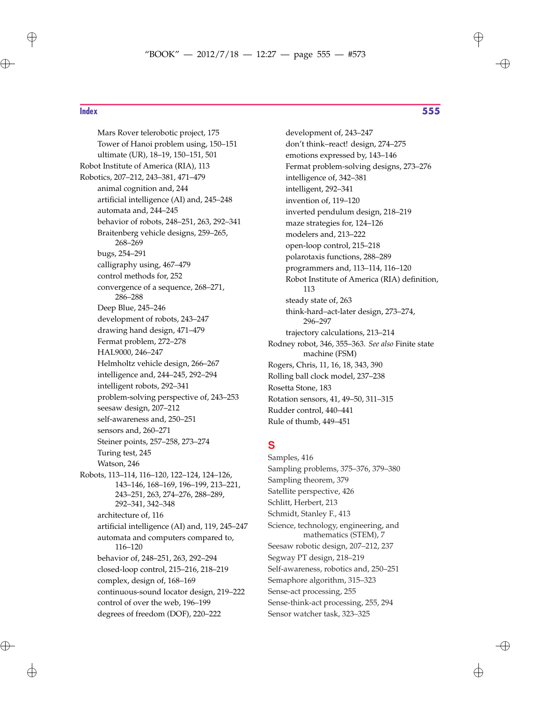# "BOOK" — 2012/7/18 — 12:27 — page 555 — #573  $\bigoplus$

 $\oplus$ 

 $\bigoplus$ 

Mars Rover telerobotic project, 175 Tower of Hanoi problem using, 150–151 ultimate (UR), 18–19, 150–151, 501 Robot Institute of America (RIA), 113 Robotics, 207–212, 243–381, 471–479 animal cognition and, 244 artificial intelligence (AI) and, 245–248 automata and, 244–245 behavior of robots, 248–251, 263, 292–341 Braitenberg vehicle designs, 259–265, 268–269 bugs, 254–291 calligraphy using, 467–479 control methods for, 252 convergence of a sequence, 268–271, 286–288 Deep Blue, 245–246 development of robots, 243–247 drawing hand design, 471–479 Fermat problem, 272–278 HAL9000, 246–247 Helmholtz vehicle design, 266–267 intelligence and, 244–245, 292–294 intelligent robots, 292–341 problem-solving perspective of, 243–253 seesaw design, 207–212 self-awareness and, 250–251 sensors and, 260–271 Steiner points, 257–258, 273–274 Turing test, 245 Watson, 246 Robots, 113–114, 116–120, 122–124, 124–126, 143–146, 168–169, 196–199, 213–221, 243–251, 263, 274–276, 288–289, 292–341, 342–348 architecture of, 116 artificial intelligence (AI) and, 119, 245–247 automata and computers compared to, 116–120 behavior of, 248–251, 263, 292–294 closed-loop control, 215–216, 218–219 complex, design of, 168–169 continuous-sound locator design, 219–222 control of over the web, 196–199 degrees of freedom (DOF), 220–222

### **Index 555**

✐

development of, 243–247 don't think–react! design, 274–275 emotions expressed by, 143–146 Fermat problem-solving designs, 273–276 intelligence of, 342–381 intelligent, 292–341 invention of, 119–120 inverted pendulum design, 218–219 maze strategies for, 124–126 modelers and, 213–222 open-loop control, 215–218 polarotaxis functions, 288–289 programmers and, 113–114, 116–120 Robot Institute of America (RIA) definition, 113 steady state of, 263 think-hard–act-later design, 273–274, 296–297 trajectory calculations, 213–214 Rodney robot, 346, 355–363. *See also* Finite state machine (FSM) Rogers, Chris, 11, 16, 18, 343, 390 Rolling ball clock model, 237–238 Rosetta Stone, 183 Rotation sensors, 41, 49–50, 311–315 Rudder control, 440–441 Rule of thumb, 449–451

### **S**

Samples, 416 Sampling problems, 375–376, 379–380 Sampling theorem, 379 Satellite perspective, 426 Schlitt, Herbert, 213 Schmidt, Stanley F., 413 Science, technology, engineering, and mathematics (STEM), 7 Seesaw robotic design, 207–212, 237 Segway PT design, 218–219 Self-awareness, robotics and, 250–251 Semaphore algorithm, 315–323 Sense-act processing, 255 Sense-think-act processing, 255, 294 Sensor watcher task, 323–325

✐

 $\oplus$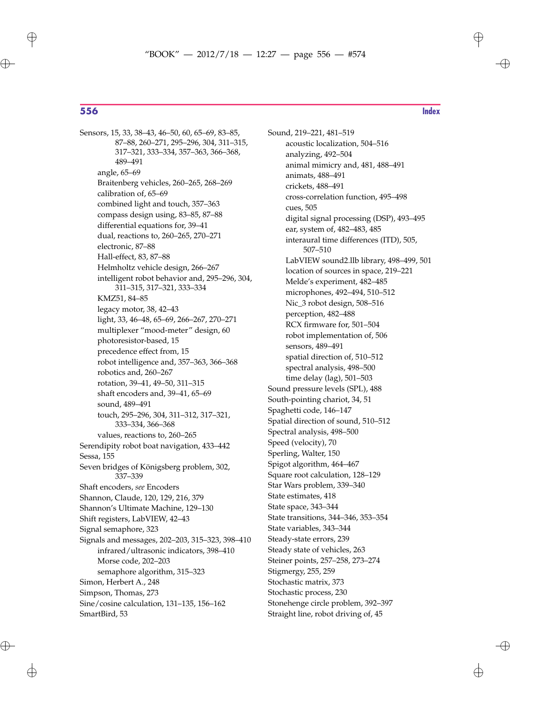$\oplus$ 

 $\bigoplus$ 

Sensors, 15, 33, 38–43, 46–50, 60, 65–69, 83–85, 87–88, 260–271, 295–296, 304, 311–315, 317–321, 333–334, 357–363, 366–368, 489–491 angle, 65–69 Braitenberg vehicles, 260–265, 268–269 calibration of, 65–69 combined light and touch, 357–363 compass design using, 83–85, 87–88 differential equations for, 39–41 dual, reactions to, 260–265, 270–271 electronic, 87–88 Hall-effect, 83, 87–88 Helmholtz vehicle design, 266–267 intelligent robot behavior and, 295–296, 304, 311–315, 317–321, 333–334 KMZ51, 84–85 legacy motor, 38, 42–43 light, 33, 46–48, 65–69, 266–267, 270–271 multiplexer "mood-meter" design, 60 photoresistor-based, 15 precedence effect from, 15 robot intelligence and, 357–363, 366–368 robotics and, 260–267 rotation, 39–41, 49–50, 311–315 shaft encoders and, 39–41, 65–69 sound, 489–491 touch, 295–296, 304, 311–312, 317–321, 333–334, 366–368 values, reactions to, 260–265 Serendipity robot boat navigation, 433–442 Sessa, 155 Seven bridges of Königsberg problem, 302, 337–339 Shaft encoders, *see* Encoders Shannon, Claude, 120, 129, 216, 379 Shannon's Ultimate Machine, 129–130 Shift registers, LabVIEW, 42–43 Signal semaphore, 323 Signals and messages, 202–203, 315–323, 398–410 infrared/ultrasonic indicators, 398–410 Morse code, 202–203 semaphore algorithm, 315–323 Simon, Herbert A., 248 Simpson, Thomas, 273 Sine/cosine calculation, 131–135, 156–162 SmartBird, 53

 $\oplus$ 

✐

Sound, 219–221, 481–519 acoustic localization, 504–516 analyzing, 492–504 animal mimicry and, 481, 488–491 animats, 488–491 crickets, 488–491 cross-correlation function, 495–498 cues, 505 digital signal processing (DSP), 493–495 ear, system of, 482–483, 485 interaural time differences (ITD), 505, 507–510 LabVIEW sound2.llb library, 498–499, 501 location of sources in space, 219–221 Melde's experiment, 482–485 microphones, 492–494, 510–512 Nic\_3 robot design, 508–516 perception, 482–488 RCX firmware for, 501–504 robot implementation of, 506 sensors, 489–491 spatial direction of, 510–512 spectral analysis, 498–500 time delay (lag), 501–503 Sound pressure levels (SPL), 488 South-pointing chariot, 34, 51 Spaghetti code, 146–147 Spatial direction of sound, 510–512 Spectral analysis, 498–500 Speed (velocity), 70 Sperling, Walter, 150 Spigot algorithm, 464–467 Square root calculation, 128–129 Star Wars problem, 339–340 State estimates, 418 State space, 343–344 State transitions, 344–346, 353–354 State variables, 343–344 Steady-state errors, 239 Steady state of vehicles, 263 Steiner points, 257–258, 273–274 Stigmergy, 255, 259 Stochastic matrix, 373 Stochastic process, 230 Stonehenge circle problem, 392–397 Straight line, robot driving of, 45

 $\oplus$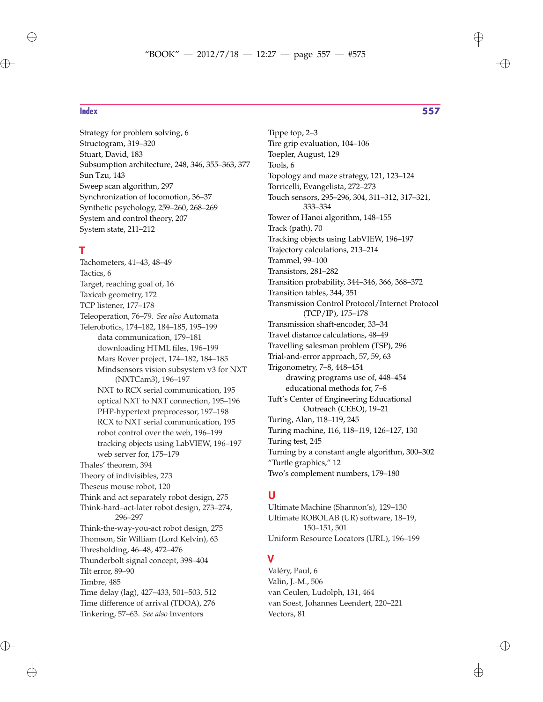$\oplus$ 

Strategy for problem solving, 6 Structogram, 319–320 Stuart, David, 183 Subsumption architecture, 248, 346, 355–363, 377 Sun Tzu, 143 Sweep scan algorithm, 297 Synchronization of locomotion, 36–37 Synthetic psychology, 259–260, 268–269 System and control theory, 207 System state, 211–212

### **T**

Tachometers, 41–43, 48–49 Tactics, 6 Target, reaching goal of, 16 Taxicab geometry, 172 TCP listener, 177–178 Teleoperation, 76–79. *See also* Automata Telerobotics, 174–182, 184–185, 195–199 data communication, 179–181 downloading HTML files, 196–199 Mars Rover project, 174–182, 184–185 Mindsensors vision subsystem v3 for NXT (NXTCam3), 196–197 NXT to RCX serial communication, 195 optical NXT to NXT connection, 195–196 PHP-hypertext preprocessor, 197–198 RCX to NXT serial communication, 195 robot control over the web, 196–199 tracking objects using LabVIEW, 196–197 web server for, 175–179 Thales' theorem, 394 Theory of indivisibles, 273 Theseus mouse robot, 120 Think and act separately robot design, 275 Think-hard–act-later robot design, 273–274, 296–297 Think-the-way-you-act robot design, 275 Thomson, Sir William (Lord Kelvin), 63 Thresholding, 46–48, 472–476 Thunderbolt signal concept, 398–404 Tilt error, 89–90 Timbre, 485 Time delay (lag), 427–433, 501–503, 512 Time difference of arrival (TDOA), 276 Tinkering, 57–63. *See also* Inventors

**Index 557**

✐

Tippe top, 2–3 Tire grip evaluation, 104–106 Toepler, August, 129 Tools, 6 Topology and maze strategy, 121, 123–124 Torricelli, Evangelista, 272–273 Touch sensors, 295–296, 304, 311–312, 317–321, 333–334 Tower of Hanoi algorithm, 148–155 Track (path), 70 Tracking objects using LabVIEW, 196–197 Trajectory calculations, 213–214 Trammel, 99–100 Transistors, 281–282 Transition probability, 344–346, 366, 368–372 Transition tables, 344, 351 Transmission Control Protocol/Internet Protocol (TCP/IP), 175–178 Transmission shaft-encoder, 33–34 Travel distance calculations, 48–49 Travelling salesman problem (TSP), 296 Trial-and-error approach, 57, 59, 63 Trigonometry, 7–8, 448–454 drawing programs use of, 448–454 educational methods for, 7–8 Tuft's Center of Engineering Educational Outreach (CEEO), 19–21 Turing, Alan, 118–119, 245 Turing machine, 116, 118–119, 126–127, 130 Turing test, 245 Turning by a constant angle algorithm, 300–302 "Turtle graphics," 12 Two's complement numbers, 179–180

### **U**

Ultimate Machine (Shannon's), 129–130 Ultimate ROBOLAB (UR) software, 18–19, 150–151, 501 Uniform Resource Locators (URL), 196–199

### **V**

Valéry, Paul, 6 Valin, J.-M., 506 van Ceulen, Ludolph, 131, 464 van Soest, Johannes Leendert, 220–221 Vectors, 81

✐

 $\oplus$